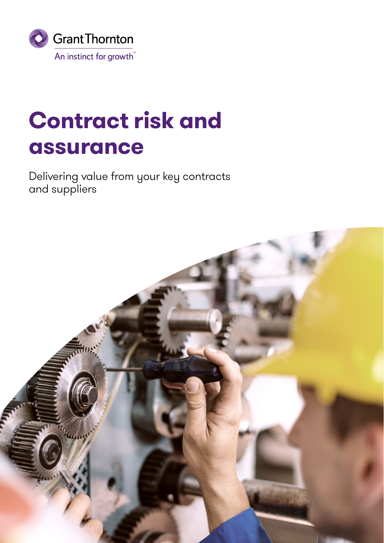

# **Contract risk and assurance**

Delivering value from your key contracts and suppliers

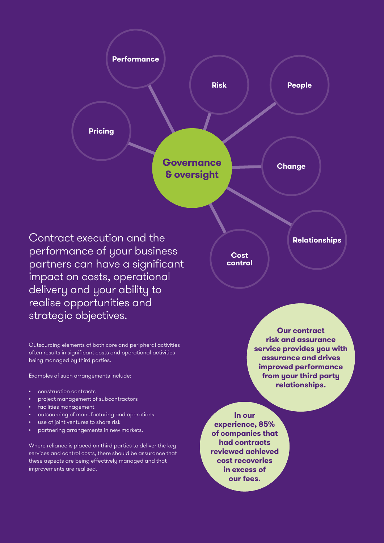

Contract execution and the performance of your business partners can have a significant impact on costs, operational delivery and your ability to realise opportunities and strategic objectives.

Outsourcing elements of both core and peripheral activities often results in significant costs and operational activities being managed by third parties.

Examples of such arrangements include:

- construction contracts
- project management of subcontractors
- facilities management
- outsourcing of manufacturing and operations
- use of joint ventures to share risk
- partnering arrangements in new markets.

Where reliance is placed on third parties to deliver the key services and control costs, there should be assurance that these aspects are being effectively managed and that improvements are realised.

**Cost control**

> **Our contract risk and assurance service provides you with assurance and drives improved performance from your third party relationships.**

**Relationships**

**In our experience, 85% of companies that had contracts reviewed achieved cost recoveries in excess of our fees.**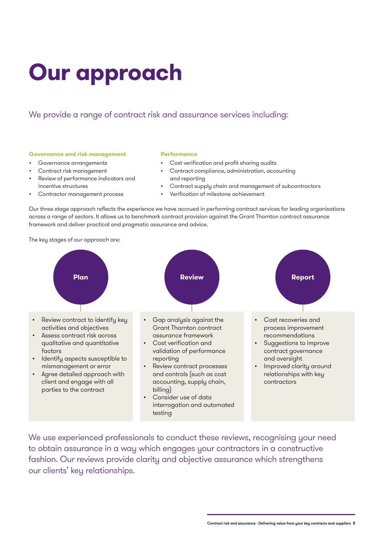# **Our approach**

### We provide a range of contract risk and assurance services including:

#### **Governance and risk management**

- Governance arrangements
- Contract risk management
- Review of performance indicators and incentive structures
- Contractor management process

#### **Performance**

- Cost verification and profit sharing audits
- Contract compliance, administration, accounting and reporting
- Contract supply chain and management of subcontractors
- Verification of milestone achievement

Our three stage approach reflects the experience we have accrued in performing contract services for leading organisations across a range of sectors. It allows us to benchmark contract provision against the Grant Thornton contract assurance framework and deliver practical and pragmatic assurance and advice.

The key stages of our approach are:



We use experienced professionals to conduct these reviews, recognising your need to obtain assurance in a way which engages your contractors in a constructive fashion. Our reviews provide clarity and objective assurance which strengthens our clients' key relationships.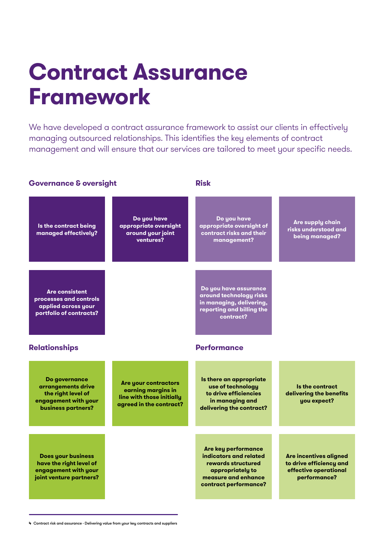# **Contract Assurance Framework**

We have developed a contract assurance framework to assist our clients in effectively managing outsourced relationships. This identifies the key elements of contract management and will ensure that our services are tailored to meet your specific needs.

**Risk**

#### **Governance & oversight**

**Is the contract being managed effectively? Are consistent processes and controls applied across your portfolio of contracts? Do you have appropriate oversight around your joint ventures? Do you have appropriate oversight of contract risks and their management? Are supply chain risks understood and being managed? Do you have assurance around technology risks in managing, delivering, reporting and billing the contract? Relationships Do governance arrangements drive the right level of engagement with your business partners? Are your contractors earning margins in line with those initially agreed in the contract? Does your business have the right level of engagement with your joint venture partners? Performance Is there an appropriate use of technology to drive efficiencies in managing and delivering the contract? Is the contract delivering the benefits you expect? Are key performance indicators and related rewards structured appropriately to measure and enhance contract performance? Are incentives aligned to drive efficiency and effective operational performance?**

**4** Contract risk and assurance - Delivering value from your key contracts and suppliers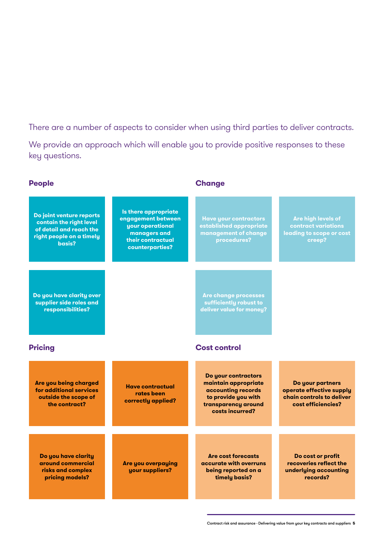There are a number of aspects to consider when using third parties to deliver contracts.

We provide an approach which will enable you to provide positive responses to these key questions.

| <b>People</b>                                                                                                        |                                                                                                                        | <b>Change</b>                                                                                                                      |                                                                                                 |
|----------------------------------------------------------------------------------------------------------------------|------------------------------------------------------------------------------------------------------------------------|------------------------------------------------------------------------------------------------------------------------------------|-------------------------------------------------------------------------------------------------|
| Do joint venture reports<br>contain the right level<br>of detail and reach the<br>right people on a timely<br>basis? | Is there appropriate<br>engagement between<br>your operational<br>managers and<br>their contractual<br>counterparties? | <b>Have your contractors</b><br>established appropriate<br>management of change<br>procedures?                                     | Are high levels of<br><b>contract variations</b><br>leading to scope or cost<br>creep?          |
| Do you have clarity over<br>supplier side roles and<br>responsibilities?                                             |                                                                                                                        | <b>Are change processes</b><br>sufficiently robust to<br>deliver value for money?                                                  |                                                                                                 |
| <b>Pricing</b>                                                                                                       |                                                                                                                        | <b>Cost control</b>                                                                                                                |                                                                                                 |
| Are you being charged<br>for additional services<br>outside the scope of<br>the contract?                            | <b>Have contractual</b><br>rates been<br>correctly applied?                                                            | Do your contractors<br>maintain appropriate<br>accounting records<br>to provide you with<br>transparency around<br>costs incurred? | Do your partners<br>operate effective supply<br>chain controls to deliver<br>cost efficiencies? |
| Do you have clarity<br>around commercial<br>risks and complex<br>pricing models?                                     | <b>Are you overpaying</b><br>your suppliers?                                                                           | <b>Are cost forecasts</b><br>accurate with overruns<br>being reported on a<br>timely basis?                                        | Do cost or profit<br>recoveries reflect the<br>underlying accounting<br>records?                |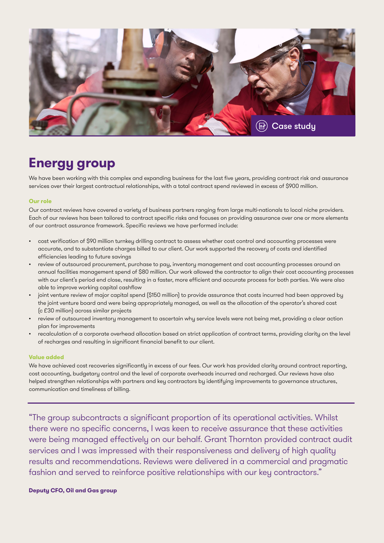

## **Energy group**

We have been working with this complex and expanding business for the last five years, providing contract risk and assurance services over their largest contractual relationships, with a total contract spend reviewed in excess of \$900 million.

#### **Our role**

Our contract reviews have covered a variety of business partners ranging from large multi-nationals to local niche providers. Each of our reviews has been tailored to contract specific risks and focuses on providing assurance over one or more elements of our contract assurance framework. Specific reviews we have performed include:

- cost verification of \$90 million turnkey drilling contract to assess whether cost control and accounting processes were accurate, and to substantiate charges billed to our client. Our work supported the recovery of costs and identified efficiencies leading to future savings
- review of outsourced procurement, purchase to pay, inventory management and cost accounting processes around an annual facilities management spend of \$80 million. Our work allowed the contractor to align their cost accounting processes with our client's period end close, resulting in a faster, more efficient and accurate process for both parties. We were also able to improve working capital cashflow
- joint venture review of major capital spend (\$150 million) to provide assurance that costs incurred had been approved by the joint venture board and were being appropriately managed, as well as the allocation of the operator's shared cost (c £30 million) across similar projects
- review of outsourced inventory management to ascertain why service levels were not being met, providing a clear action plan for improvements
- recalculation of a corporate overhead allocation based on strict application of contract terms, providing clarity on the level of recharges and resulting in significant financial benefit to our client.

#### **Value added**

We have achieved cost recoveries significantly in excess of our fees. Our work has provided clarity around contract reporting, cost accounting, budgetary control and the level of corporate overheads incurred and recharged. Our reviews have also helped strengthen relationships with partners and key contractors by identifying improvements to governance structures, communication and timeliness of billing.

"The group subcontracts a significant proportion of its operational activities. Whilst there were no specific concerns, I was keen to receive assurance that these activities were being managed effectively on our behalf. Grant Thornton provided contract audit services and I was impressed with their responsiveness and delivery of high quality results and recommendations. Reviews were delivered in a commercial and pragmatic fashion and served to reinforce positive relationships with our key contractors."

#### **Deputy CFO, Oil and Gas group**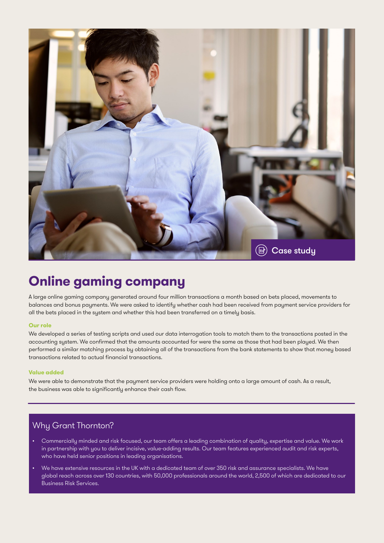

## **Online gaming company**

A large online gaming company generated around four million transactions a month based on bets placed, movements to balances and bonus payments. We were asked to identify whether cash had been received from payment service providers for all the bets placed in the system and whether this had been transferred on a timely basis.

#### **Our role**

We developed a series of testing scripts and used our data interrogation tools to match them to the transactions posted in the accounting system. We confirmed that the amounts accounted for were the same as those that had been played. We then performed a similar matching process by obtaining all of the transactions from the bank statements to show that money based transactions related to actual financial transactions.

#### **Value added**

We were able to demonstrate that the payment service providers were holding onto a large amount of cash. As a result, the business was able to significantly enhance their cash flow.

### Why Grant Thornton?

- Commercially minded and risk focused, our team offers a leading combination of quality, expertise and value. We work in partnership with you to deliver incisive, value-adding results. Our team features experienced audit and risk experts, who have held senior positions in leading organisations.
- We have extensive resources in the UK with a dedicated team of over 350 risk and assurance specialists. We have global reach across over 130 countries, with 50,000 professionals around the world, 2,500 of which are dedicated to our Business Risk Services.